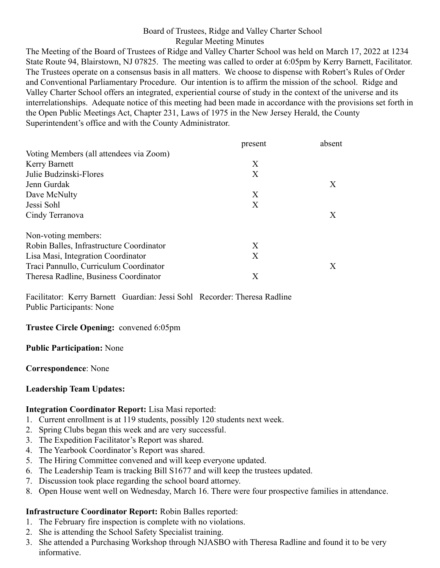### Board of Trustees, Ridge and Valley Charter School Regular Meeting Minutes

The Meeting of the Board of Trustees of Ridge and Valley Charter School was held on March 17, 2022 at 1234 State Route 94, Blairstown, NJ 07825. The meeting was called to order at 6:05pm by Kerry Barnett, Facilitator. The Trustees operate on a consensus basis in all matters. We choose to dispense with Robert's Rules of Order and Conventional Parliamentary Procedure. Our intention is to affirm the mission of the school. Ridge and Valley Charter School offers an integrated, experiential course of study in the context of the universe and its interrelationships. Adequate notice of this meeting had been made in accordance with the provisions set forth in the Open Public Meetings Act, Chapter 231, Laws of 1975 in the New Jersey Herald, the County Superintendent's office and with the County Administrator.

|                                          | present | absent |
|------------------------------------------|---------|--------|
| Voting Members (all attendees via Zoom)  |         |        |
| <b>Kerry Barnett</b>                     | X       |        |
| Julie Budzinski-Flores                   | X       |        |
| Jenn Gurdak                              |         | X      |
| Dave McNulty                             | X       |        |
| Jessi Sohl                               | X       |        |
| Cindy Terranova                          |         | X      |
| Non-voting members:                      |         |        |
| Robin Balles, Infrastructure Coordinator | X       |        |
| Lisa Masi, Integration Coordinator       | X       |        |
| Traci Pannullo, Curriculum Coordinator   |         | Х      |
| Theresa Radline, Business Coordinator    | Х       |        |

Facilitator: Kerry Barnett Guardian: Jessi Sohl Recorder: Theresa Radline Public Participants: None

### **Trustee Circle Opening:** convened 6:05pm

### **Public Participation:** None

### **Correspondence**: None

### **Leadership Team Updates:**

### **Integration Coordinator Report:** Lisa Masi reported:

- 1. Current enrollment is at 119 students, possibly 120 students next week.
- 2. Spring Clubs began this week and are very successful.
- 3. The Expedition Facilitator's Report was shared.
- 4. The Yearbook Coordinator's Report was shared.
- 5. The Hiring Committee convened and will keep everyone updated.
- 6. The Leadership Team is tracking Bill S1677 and will keep the trustees updated.
- 7. Discussion took place regarding the school board attorney.
- 8. Open House went well on Wednesday, March 16. There were four prospective families in attendance.

## **Infrastructure Coordinator Report:** Robin Balles reported:

- 1. The February fire inspection is complete with no violations.
- 2. She is attending the School Safety Specialist training.
- 3. She attended a Purchasing Workshop through NJASBO with Theresa Radline and found it to be very informative.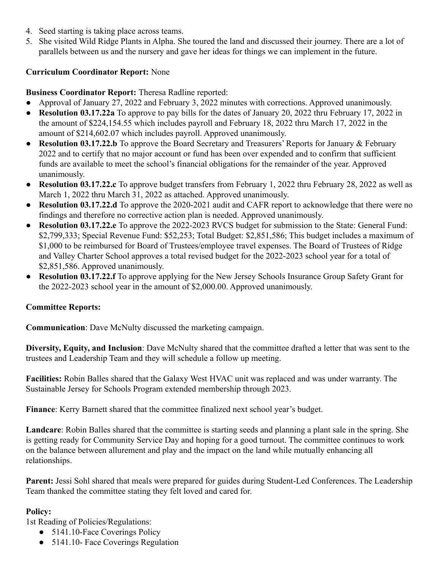- 4. Seed starting is taking place across teams.
- 5. She visited Wild Ridge Plants in Alpha. She toured the land and discussed their journey. There are a lot of parallels between us and the nursery and gave her ideas for things we can implement in the future.

## **Curriculum Coordinator Report:** None

# **Business Coordinator Report:** Theresa Radline reported:

- Approval of January 27, 2022 and February 3, 2022 minutes with corrections. Approved unanimously.
- **Resolution 03.17.22a** To approve to pay bills for the dates of January 20, 2022 thru February 17, 2022 in the amount of \$224,154.55 which includes payroll and February 18, 2022 thru March 17, 2022 in the amount of \$214,602.07 which includes payroll. Approved unanimously.
- **● Resolution 03.17.22.b** To approve the Board Secretary and Treasurers' Reports for January & February 2022 and to certify that no major account or fund has been over expended and to confirm that sufficient funds are available to meet the school's financial obligations for the remainder of the year. Approved unanimously.
- **● Resolution 03.17.22.c** To approve budget transfers from February 1, 2022 thru February 28, 2022 as well as March 1, 2022 thru March 31, 2022 as attached. Approved unanimously.
- **Resolution 03.17.22.d** To approve the 2020-2021 audit and CAFR report to acknowledge that there were no findings and therefore no corrective action plan is needed. Approved unanimously.
- **Resolution 03.17.22.e** To approve the 2022-2023 RVCS budget for submission to the State: General Fund: \$2,799,333; Special Revenue Fund: \$52,253; Total Budget: \$2,851,586; This budget includes a maximum of \$1,000 to be reimbursed for Board of Trustees/employee travel expenses. The Board of Trustees of Ridge and Valley Charter School approves a total revised budget for the 2022-2023 school year for a total of \$2,851,586. Approved unanimously.
- **● Resolution 03.17.22.f** To approve applying for the New Jersey Schools Insurance Group Safety Grant for the 2022-2023 school year in the amount of \$2,000.00. Approved unanimously.

## **Committee Reports:**

**Communication**: Dave McNulty discussed the marketing campaign.

**Diversity, Equity, and Inclusion**: Dave McNulty shared that the committee drafted a letter that was sent to the trustees and Leadership Team and they will schedule a follow up meeting.

**Facilities:** Robin Balles shared that the Galaxy West HVAC unit was replaced and was under warranty. The Sustainable Jersey for Schools Program extended membership through 2023.

**Finance**: Kerry Barnett shared that the committee finalized next school year's budget.

Landcare: Robin Balles shared that the committee is starting seeds and planning a plant sale in the spring. She is getting ready for Community Service Day and hoping for a good turnout. The committee continues to work on the balance between allurement and play and the impact on the land while mutually enhancing all relationships.

**Parent:** Jessi Sohl shared that meals were prepared for guides during Student-Led Conferences. The Leadership Team thanked the committee stating they felt loved and cared for.

## **Policy:**

1st Reading of Policies/Regulations:

- 5141.10-Face Coverings Policy
- 5141.10- Face Coverings Regulation